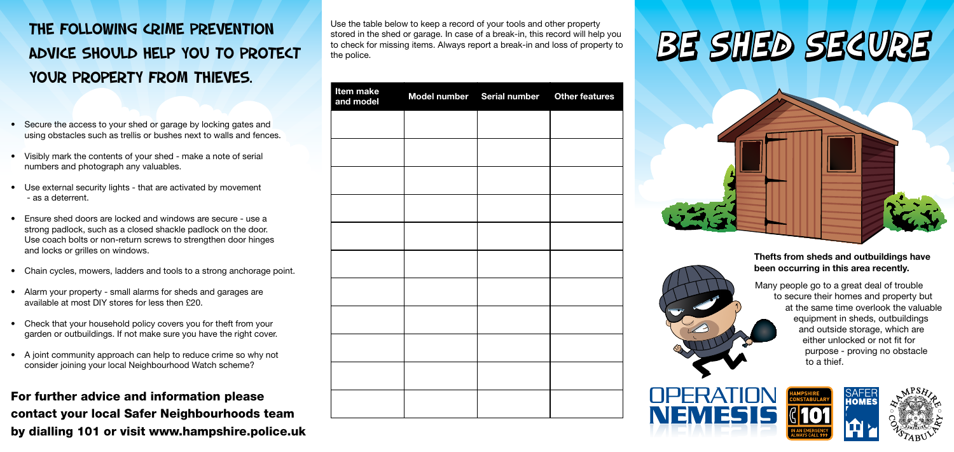# The following crime prevention advice should help you to protect your property from thieves.

Many people go to a great deal of trouble to secure their homes and property but at the same time overlook the valuable equipment in sheds, outbuildings and outside storage, which are either unlocked or not fit for purpose - proving no obstacle to a thief.







## Thefts from sheds and outbuildings have been occurring in this area recently.

- Secure the access to your shed or garage by locking gates and using obstacles such as trellis or bushes next to walls and fences.
- • Visibly mark the contents of your shed make a note of serial numbers and photograph any valuables.
- Use external security lights that are activated by movement - as a deterrent.
- Ensure shed doors are locked and windows are secure use a strong padlock, such as a closed shackle padlock on the door. Use coach bolts or non-return screws to strengthen door hinges and locks or grilles on windows.
- Chain cycles, mowers, ladders and tools to a strong anchorage point.
- Alarm your property small alarms for sheds and garages are available at most DIY stores for less then £20.
- Check that your household policy covers you for theft from your garden or outbuildings. If not make sure you have the right cover.
- A joint community approach can help to reduce crime so why not consider joining your local Neighbourhood Watch scheme?

For further advice and information please contact your local Safer Neighbourhoods team by dialling 101 or visit www.hampshire.police.uk

Use the table below to keep a record of your tools and other property stored in the shed or garage. In case of a break-in, this record will help you to check for missing items. Always report a break-in and loss of property to the police.









# BE SHED SECURE